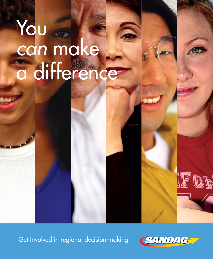# You *can* make a difference

Get involved in regional decision-making



IFOR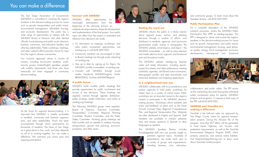# You *can* make a difference

The San Diego Association of Governments (SANDAG) is committed to involving the region's residents in the decision-making process for issues such as growth, transportation and public transit, environmental management, affordable housing, and economic development. The public has a wide range of opportunities to interact with the SANDAG Board of Directors and other elected officials; local planning and public works directors; business, community, and education leaders; and other key stakeholders. Public workshops, meetings, and other outreach efforts provide a forum for input from the region's diverse communities.

Our inclusive approach strives to involve all citizens, including low-income residents, youth, minority groups, limited-English speakers, people with mobility impairments, and those who have historically not been engaged in community decision-making.



As the forum for regional decision-making, it is important that SANDAG is readily accessible to residents, community and business organizations, and other stakeholders. Much has been accomplished through active participation by thousands of residents. The future of San Diego as a great place to live, work, and play depends on all of us working together. You can make a difference. We welcome your active input and ongoing participation.

#### **Connect with SANDAG**

SANDAG offers opportunities meaningful participation from the beginning of the planning process so residents are empowered to shape the development and implementation of the final project. Your public input can affect how the project is evaluated and influence how decisions are made.

- » For information on meetings, workshops, and other public involvement opportunities, visit [sandag.org](http://www.sandag.org) or call (619) 699-1950
- » Community members are encouraged to listen to Board meetings live through audio streaming on [sandag.org](http://www.sandag.org)
- » Stay up to date by signing up for rEgion, the SANDAG monthly e-newsletter, at [sandag.org](http://www.sandag.org/enewsletter/default.htm)
- » Connect with SANDAG through social media: [Facebook \(SANDAGregion\)](https://www.facebook.com/SANDAGregion), [Twitter](https://twitter.com/SANDAG)  [\(@SANDAG\)](https://twitter.com/SANDAG), [YouTube \(SANDAGRegion\)](http://www.youtube.com/user/SANDAGREGION)

#### **A public forum**

SANDAG holds monthly public meetings that provide opportunities for public involvement and access to key decisions. These meetings are regularly noticed through agenda distribution, public postings, media notification, and online at [sandag.org/meetings](http://www.sandag.org/meetings).

The following SANDAG groups meet regularly: Board of Directors, Executive Committee, Transportation Committee, Regional Planning Committee, Borders Committee, and the Public Safety Committee. Working group meetings are held monthly and as needed to address housing, transportation, growth and planning, economic prosperity, and other issues.





#### **Getting the word out**

SANDAG informs the public in a timely manner about regional issues, actions, and pending decisions through a number of efforts: mail distribution to residents, agencies, and city/county governments; public notices in newspapers; the SANDAG website, email listservs, and [rEgion – the](http://www.sandag.org/enewsletter/default.htm) [SANDAG e-newsletter](http://www.sandag.org/enewsletter/default.htm) – as well as press releases and media alerts to local, regional, and binational print and broadcast media.

The SANDAG website, [sandag.org](http://www.sandag.org), features useful and timely information, including reports, project fact sheets, and other publications; meeting schedules, agendas, and Board action summaries; demographic profiles and data downloads; and interactive database and mapping applications.

#### **In a neighborhood near you**

SANDAG collaborates with local jurisdictions and partner agencies to hold public workshops for citizen input on a variety of critical issues. Public workshops are an important venue for the region's citizens to participate in the SANDAG decisionmaking process. Workshops inform residents and solicit vital feedback on plans such as the Smart Growth Concept Map, Regional Comprehensive Plan, and Regional Transportation Plan. Materials are often distributed in English and Spanish. Staff members are available to conduct presentations and answer questions in Spanish or other languages as needed.

The SANDAG Speakers Bureau includes knowledgeable staff who can provide insight on pertinent regional topics. Hundreds of

presentations are made each year to a variety of groups and organizations, including business, civic, education,

and community groups. To learn more about the Speakers Bureau, call (619) 699-1950.

# **Public Participation Plan**

For a complete description of the SANDAG outreach processes, review the SANDAG Public Participation Plan (PPP) at [sandag.org/ppp](http://www.sandag.org/ppp). The PPP is designed to inform and involve the region's residents in the decision-making process for issues such as growth, transportation and public transit, environmental management, housing, open space, air quality, energy, fiscal management, economic development, interregional and binational



collaboration, and public safety. The PPP serves as the overarching document that guides individual public involvement plans for specific SANDAG projects and programs. To request a hard copy of the PPP, call (619) 699-1950.

### **SANDAG and** *TransNet* **are making a difference**

*TransNet* is the half-cent sales tax approved by San Diego County voters for regional transportation projects. During the 60-year life of the program, more than \$17 billion will be generated to fund transit, highway, rail, bicycle, and pedestrian improvements, as well as the *TransNet*  Environmental Mitigation Program (EMP), which protects, preserves, and restores native habitats. Visit [KeepSanDiegoMoving.com](http://www.KeepSanDiegoMoving.com) to learn more about *TransNet* -funded projects.